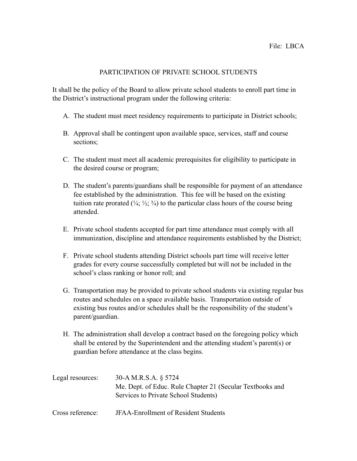## PARTICIPATION OF PRIVATE SCHOOL STUDENTS

It shall be the policy of the Board to allow private school students to enroll part time in the District's instructional program under the following criteria:

- A. The student must meet residency requirements to participate in District schools;
- B. Approval shall be contingent upon available space, services, staff and course sections;
- C. The student must meet all academic prerequisites for eligibility to participate in the desired course or program;
- D. The student's parents/guardians shall be responsible for payment of an attendance fee established by the administration. This fee will be based on the existing tuition rate prorated  $(\frac{1}{4}; \frac{1}{2}; \frac{3}{4})$  to the particular class hours of the course being attended.
- E. Private school students accepted for part time attendance must comply with all immunization, discipline and attendance requirements established by the District;
- F. Private school students attending District schools part time will receive letter grades for every course successfully completed but will not be included in the school's class ranking or honor roll; and
- G. Transportation may be provided to private school students via existing regular bus routes and schedules on a space available basis. Transportation outside of existing bus routes and/or schedules shall be the responsibility of the student's parent/guardian.
- H. The administration shall develop a contract based on the foregoing policy which shall be entered by the Superintendent and the attending student's parent(s) or guardian before attendance at the class begins.

| Legal resources: | 30-A M.R.S.A. § 5724                                      |
|------------------|-----------------------------------------------------------|
|                  | Me. Dept. of Educ. Rule Chapter 21 (Secular Textbooks and |
|                  | Services to Private School Students)                      |
| Cross reference: | <b>JFAA-Enrollment of Resident Students</b>               |